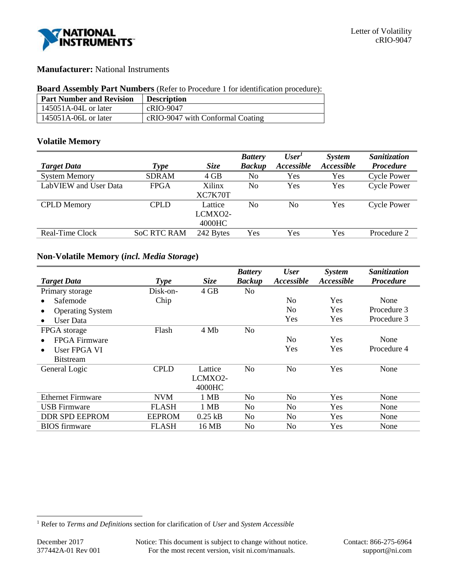

# **Manufacturer:** National Instruments

### **Board Assembly Part Numbers** (Refer to Procedure 1 for identification procedure):

| <b>Part Number and Revision</b> | <b>Description</b>               |
|---------------------------------|----------------------------------|
| $145051A-04L$ or later          | cRIO-9047                        |
| $145051A-06L$ or later          | cRIO-9047 with Conformal Coating |

# **Volatile Memory**

|                       |                    |             | <b>Battery</b> | User <sup>1</sup> | <b>System</b> | <b>Sanitization</b> |
|-----------------------|--------------------|-------------|----------------|-------------------|---------------|---------------------|
| <b>Target Data</b>    | <b>Type</b>        | <b>Size</b> | <b>Backup</b>  | Accessible        | Accessible    | <b>Procedure</b>    |
| <b>System Memory</b>  | <b>SDRAM</b>       | 4 GB        | No             | Yes               | Yes           | <b>Cycle Power</b>  |
| LabVIEW and User Data | <b>FPGA</b>        | Xilinx      | No             | Yes               | Yes           | <b>Cycle Power</b>  |
|                       |                    | XC7K70T     |                |                   |               |                     |
| <b>CPLD</b> Memory    | <b>CPLD</b>        | Lattice     | No             | No                | Yes           | <b>Cycle Power</b>  |
|                       |                    | LCMXO2-     |                |                   |               |                     |
|                       |                    | 4000HC      |                |                   |               |                     |
| Real-Time Clock       | <b>SoC RTC RAM</b> | 242 Bytes   | Yes            | Yes               | Yes           | Procedure 2         |
|                       |                    |             |                |                   |               |                     |

# **Non-Volatile Memory (***incl. Media Storage***)**

|                           |               |             | <b>Battery</b> | <b>User</b>    | <b>System</b>     | Sanitization     |
|---------------------------|---------------|-------------|----------------|----------------|-------------------|------------------|
| <b>Target Data</b>        | <b>Type</b>   | <b>Size</b> | <b>Backup</b>  | Accessible     | <b>Accessible</b> | <b>Procedure</b> |
| Primary storage           | Disk-on-      | 4 GB        | No             |                |                   |                  |
| Safemode                  | Chip          |             |                | No             | Yes               | None             |
| <b>Operating System</b>   |               |             |                | N <sub>0</sub> | <b>Yes</b>        | Procedure 3      |
| User Data<br>$\bullet$    |               |             |                | Yes            | Yes               | Procedure 3      |
| FPGA storage              | Flash         | 4 Mb        | No             |                |                   |                  |
| FPGA Firmware             |               |             |                | No             | <b>Yes</b>        | None             |
| User FPGA VI<br>$\bullet$ |               |             |                | Yes            | Yes               | Procedure 4      |
| <b>Bitstream</b>          |               |             |                |                |                   |                  |
| General Logic             | <b>CPLD</b>   | Lattice     | No             | No             | Yes               | None             |
|                           |               | LCMXO2-     |                |                |                   |                  |
|                           |               | 4000HC      |                |                |                   |                  |
| <b>Ethernet Firmware</b>  | <b>NVM</b>    | 1 MB        | No             | No             | Yes               | None             |
| <b>USB</b> Firmware       | FLASH         | 1 MB        | No             | N <sub>0</sub> | Yes               | None             |
| <b>DDR SPD EEPROM</b>     | <b>EEPROM</b> | $0.25$ kB   | No             | No             | Yes               | None             |
| <b>BIOS</b> firmware      | <b>FLASH</b>  | 16 MB       | No             | No             | Yes               | None             |

l

<sup>1</sup> Refer to *Terms and Definitions* section for clarification of *User* and *System Accessible*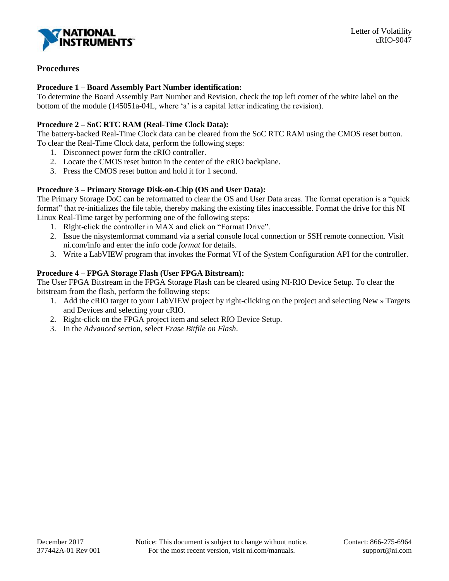

# **Procedures**

### **Procedure 1 – Board Assembly Part Number identification:**

To determine the Board Assembly Part Number and Revision, check the top left corner of the white label on the bottom of the module (145051a-04L, where 'a' is a capital letter indicating the revision).

# **Procedure 2 – SoC RTC RAM (Real-Time Clock Data):**

The battery-backed Real-Time Clock data can be cleared from the SoC RTC RAM using the CMOS reset button. To clear the Real-Time Clock data, perform the following steps:

- 1. Disconnect power form the cRIO controller.
- 2. Locate the CMOS reset button in the center of the cRIO backplane.
- 3. Press the CMOS reset button and hold it for 1 second.

# **Procedure 3 – Primary Storage Disk-on-Chip (OS and User Data):**

The Primary Storage DoC can be reformatted to clear the OS and User Data areas. The format operation is a "quick format" that re-initializes the file table, thereby making the existing files inaccessible. Format the drive for this NI Linux Real-Time target by performing one of the following steps:

- 1. Right-click the controller in MAX and click on "Format Drive".
- 2. Issue the nisystemformat command via a serial console local connection or SSH remote connection. Visit ni.com/info and enter the info code *format* for details.
- 3. Write a LabVIEW program that invokes the Format VI of the System Configuration API for the controller.

# **Procedure 4 – FPGA Storage Flash (User FPGA Bitstream):**

The User FPGA Bitstream in the FPGA Storage Flash can be cleared using NI-RIO Device Setup. To clear the bitstream from the flash, perform the following steps:

- 1. Add the cRIO target to your LabVIEW project by right-clicking on the project and selecting New » Targets and Devices and selecting your cRIO.
- 2. Right-click on the FPGA project item and select RIO Device Setup.
- 3. In the *Advanced* section, select *Erase Bitfile on Flash*.